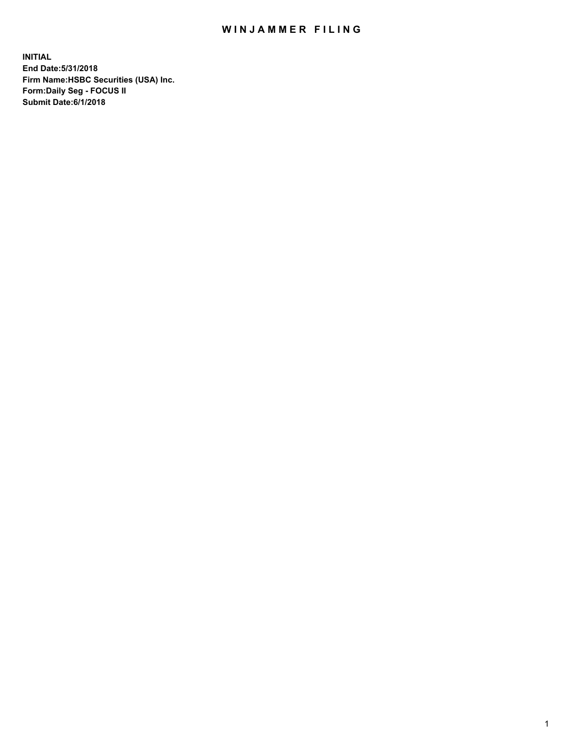## WIN JAMMER FILING

**INITIAL End Date:5/31/2018 Firm Name:HSBC Securities (USA) Inc. Form:Daily Seg - FOCUS II Submit Date:6/1/2018**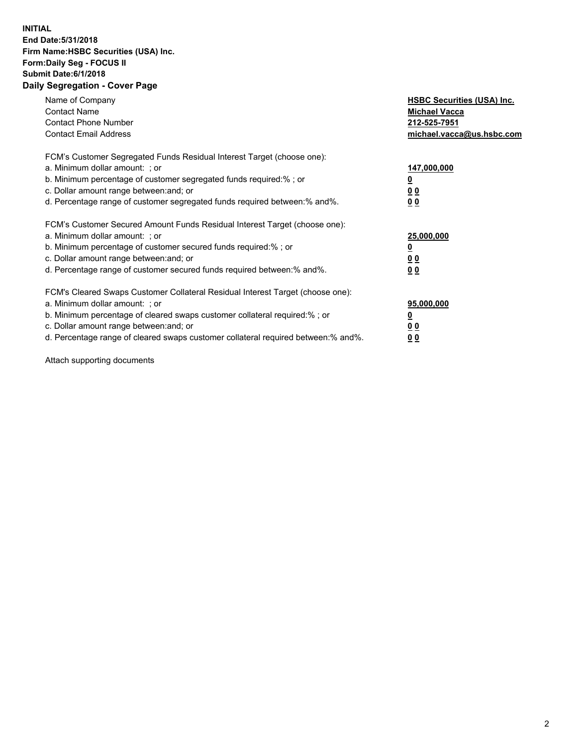## **INITIAL End Date:5/31/2018 Firm Name:HSBC Securities (USA) Inc. Form:Daily Seg - FOCUS II Submit Date:6/1/2018 Daily Segregation - Cover Page**

| Name of Company<br><b>Contact Name</b><br><b>Contact Phone Number</b><br><b>Contact Email Address</b>                                                                                                                                                                                                                         | <b>HSBC Securities (USA) Inc.</b><br><b>Michael Vacca</b><br>212-525-7951<br>michael.vacca@us.hsbc.com |
|-------------------------------------------------------------------------------------------------------------------------------------------------------------------------------------------------------------------------------------------------------------------------------------------------------------------------------|--------------------------------------------------------------------------------------------------------|
| FCM's Customer Segregated Funds Residual Interest Target (choose one):<br>a. Minimum dollar amount: ; or<br>b. Minimum percentage of customer segregated funds required:%; or<br>c. Dollar amount range between: and; or<br>d. Percentage range of customer segregated funds required between: % and %.                       | 147,000,000<br><u>0</u><br><u>00</u><br><u>00</u>                                                      |
| FCM's Customer Secured Amount Funds Residual Interest Target (choose one):<br>a. Minimum dollar amount: ; or<br>b. Minimum percentage of customer secured funds required:%; or<br>c. Dollar amount range between: and; or<br>d. Percentage range of customer secured funds required between: % and %.                         | 25,000,000<br><u>0</u><br><u>00</u><br>00                                                              |
| FCM's Cleared Swaps Customer Collateral Residual Interest Target (choose one):<br>a. Minimum dollar amount: ; or<br>b. Minimum percentage of cleared swaps customer collateral required:%; or<br>c. Dollar amount range between: and; or<br>d. Percentage range of cleared swaps customer collateral required between:% and%. | 95,000,000<br><u>0</u><br><u>00</u><br><u>00</u>                                                       |

Attach supporting documents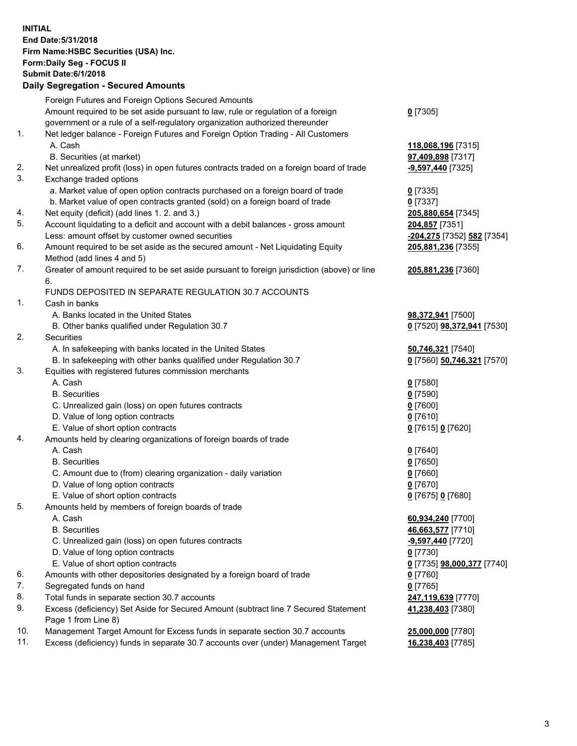**INITIAL End Date:5/31/2018 Firm Name:HSBC Securities (USA) Inc. Form:Daily Seg - FOCUS II Submit Date:6/1/2018 Daily Segregation - Secured Amounts** Foreign Futures and Foreign Options Secured Amounts Amount required to be set aside pursuant to law, rule or regulation of a foreign government or a rule of a self-regulatory organization authorized thereunder **0** [7305] 1. Net ledger balance - Foreign Futures and Foreign Option Trading - All Customers A. Cash **118,068,196** [7315] B. Securities (at market) **97,409,898** [7317] 2. Net unrealized profit (loss) in open futures contracts traded on a foreign board of trade **-9,597,440** [7325] 3. Exchange traded options a. Market value of open option contracts purchased on a foreign board of trade **0** [7335] b. Market value of open contracts granted (sold) on a foreign board of trade **0** [7337] 4. Net equity (deficit) (add lines 1. 2. and 3.) **205,880,654** [7345] 5. Account liquidating to a deficit and account with a debit balances - gross amount **204,857** [7351] Less: amount offset by customer owned securities **-204,275** [7352] **582** [7354] 6. Amount required to be set aside as the secured amount - Net Liquidating Equity Method (add lines 4 and 5) **205,881,236** [7355] 7. Greater of amount required to be set aside pursuant to foreign jurisdiction (above) or line 6. **205,881,236** [7360] FUNDS DEPOSITED IN SEPARATE REGULATION 30.7 ACCOUNTS 1. Cash in banks A. Banks located in the United States **98,372,941** [7500] B. Other banks qualified under Regulation 30.7 **0** [7520] **98,372,941** [7530] 2. Securities A. In safekeeping with banks located in the United States **50,746,321** [7540] B. In safekeeping with other banks qualified under Regulation 30.7 **0** [7560] **50,746,321** [7570] 3. Equities with registered futures commission merchants A. Cash **0** [7580] B. Securities **0** [7590] C. Unrealized gain (loss) on open futures contracts **0** [7600] D. Value of long option contracts **0** [7610] E. Value of short option contracts **0** [7615] **0** [7620] 4. Amounts held by clearing organizations of foreign boards of trade A. Cash **0** [7640] B. Securities **0** [7650] C. Amount due to (from) clearing organization - daily variation **0** [7660] D. Value of long option contracts **0** [7670] E. Value of short option contracts **0** [7675] **0** [7680] 5. Amounts held by members of foreign boards of trade A. Cash **60,934,240** [7700] B. Securities **46,663,577** [7710] C. Unrealized gain (loss) on open futures contracts **-9,597,440** [7720] D. Value of long option contracts **0** [7730] E. Value of short option contracts **0** [7735] **98,000,377** [7740] 6. Amounts with other depositories designated by a foreign board of trade **0** [7760] 7. Segregated funds on hand **0** [7765] 8. Total funds in separate section 30.7 accounts **247,119,639** [7770] 9. Excess (deficiency) Set Aside for Secured Amount (subtract line 7 Secured Statement Page 1 from Line 8) **41,238,403** [7380] 10. Management Target Amount for Excess funds in separate section 30.7 accounts **25,000,000** [7780]

11. Excess (deficiency) funds in separate 30.7 accounts over (under) Management Target **16,238,403** [7785]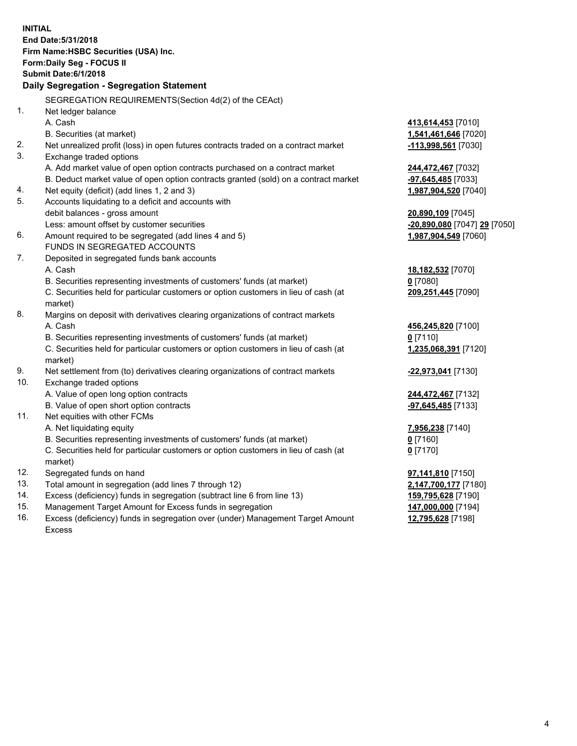| <b>INITIAL</b> | End Date: 5/31/2018<br>Firm Name: HSBC Securities (USA) Inc.<br><b>Form:Daily Seg - FOCUS II</b><br><b>Submit Date:6/1/2018</b><br>Daily Segregation - Segregation Statement |                                                  |
|----------------|------------------------------------------------------------------------------------------------------------------------------------------------------------------------------|--------------------------------------------------|
|                | SEGREGATION REQUIREMENTS(Section 4d(2) of the CEAct)                                                                                                                         |                                                  |
| 1.             | Net ledger balance                                                                                                                                                           |                                                  |
|                | A. Cash                                                                                                                                                                      | 413,614,453 [7010]                               |
|                | B. Securities (at market)                                                                                                                                                    | 1,541,461,646 [7020]                             |
| 2.             | Net unrealized profit (loss) in open futures contracts traded on a contract market                                                                                           | -113,998,561 [7030]                              |
| 3.             | Exchange traded options                                                                                                                                                      |                                                  |
|                | A. Add market value of open option contracts purchased on a contract market                                                                                                  | <u>244,472,467</u> [7032]                        |
|                | B. Deduct market value of open option contracts granted (sold) on a contract market                                                                                          | <u>-97,645,485</u> [7033]                        |
| 4.             | Net equity (deficit) (add lines 1, 2 and 3)                                                                                                                                  | 1,987,904,520 [7040]                             |
| 5.             | Accounts liquidating to a deficit and accounts with                                                                                                                          |                                                  |
|                | debit balances - gross amount                                                                                                                                                | 20,890,109 [7045]                                |
|                | Less: amount offset by customer securities                                                                                                                                   | <mark>-20,890,080</mark> [7047] <u>29</u> [7050] |
| 6.             | Amount required to be segregated (add lines 4 and 5)                                                                                                                         | 1,987,904,549 [7060]                             |
|                | FUNDS IN SEGREGATED ACCOUNTS                                                                                                                                                 |                                                  |
| 7.             | Deposited in segregated funds bank accounts                                                                                                                                  |                                                  |
|                | A. Cash                                                                                                                                                                      | 18,182,532 [7070]                                |
|                | B. Securities representing investments of customers' funds (at market)                                                                                                       | 0 [7080]                                         |
|                | C. Securities held for particular customers or option customers in lieu of cash (at<br>market)                                                                               | 209,251,445 [7090]                               |
| 8.             | Margins on deposit with derivatives clearing organizations of contract markets                                                                                               |                                                  |
|                | A. Cash                                                                                                                                                                      | 456,245,820 [7100]                               |
|                | B. Securities representing investments of customers' funds (at market)                                                                                                       | $0$ [7110]                                       |
|                | C. Securities held for particular customers or option customers in lieu of cash (at<br>market)                                                                               | 1,235,068,391 [7120]                             |
| 9.             | Net settlement from (to) derivatives clearing organizations of contract markets                                                                                              | <u>-22,973,041</u> [7130]                        |
| 10.            | Exchange traded options                                                                                                                                                      |                                                  |
|                | A. Value of open long option contracts                                                                                                                                       | <u>244,472,467</u> [7132]                        |
|                | B. Value of open short option contracts                                                                                                                                      | -97,645,485 [7133]                               |
| 11.            | Net equities with other FCMs                                                                                                                                                 |                                                  |
|                | A. Net liquidating equity                                                                                                                                                    | 7,956,238 [7140]                                 |
|                | B. Securities representing investments of customers' funds (at market)                                                                                                       | $0$ [7160]                                       |
|                | C. Securities held for particular customers or option customers in lieu of cash (at                                                                                          | $0$ [7170]                                       |
|                | market)                                                                                                                                                                      |                                                  |
| 12.            | Segregated funds on hand                                                                                                                                                     | <u>97,141,810</u> [7150]                         |
| 13.            | Total amount in segregation (add lines 7 through 12)                                                                                                                         | 2,147,700,177 [7180]                             |
| 14.            | Excess (deficiency) funds in segregation (subtract line 6 from line 13)                                                                                                      | 159,795,628 [7190]                               |
| 15.            | Management Target Amount for Excess funds in segregation                                                                                                                     | 147,000,000 [7194]                               |

16. Excess (deficiency) funds in segregation over (under) Management Target Amount

Excess

**12,795,628** [7198]